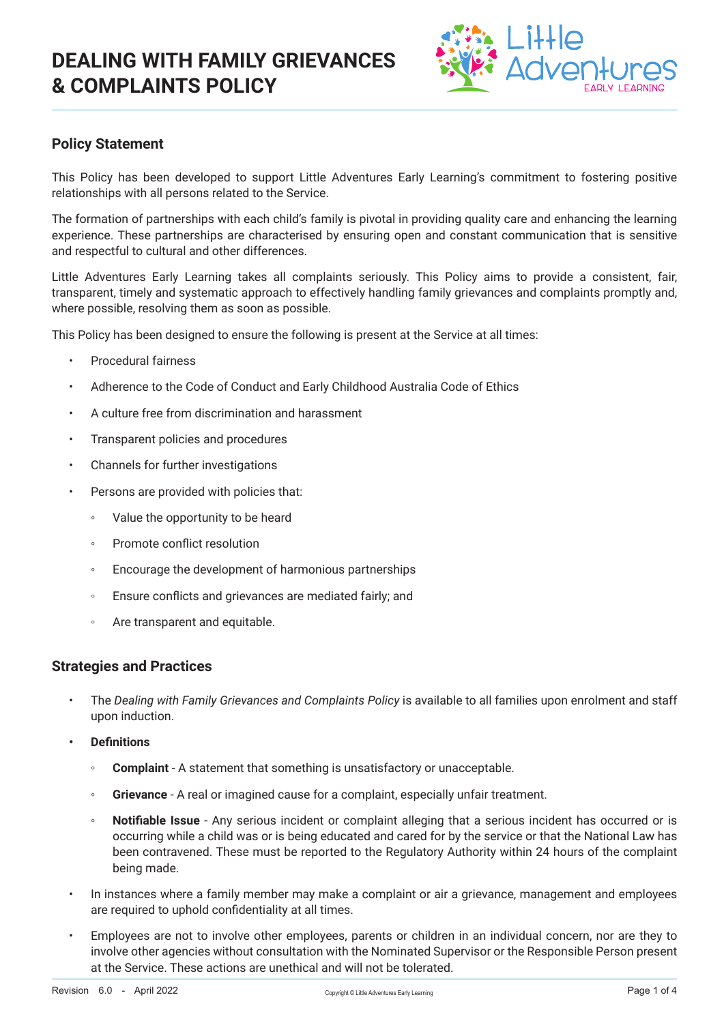# **DEALING WITH FAMILY GRIEVANCES & COMPLAINTS POLICY**



## **Policy Statement**

This Policy has been developed to support Little Adventures Early Learning's commitment to fostering positive relationships with all persons related to the Service.

The formation of partnerships with each child's family is pivotal in providing quality care and enhancing the learning experience. These partnerships are characterised by ensuring open and constant communication that is sensitive and respectful to cultural and other differences.

Little Adventures Early Learning takes all complaints seriously. This Policy aims to provide a consistent, fair, transparent, timely and systematic approach to effectively handling family grievances and complaints promptly and, where possible, resolving them as soon as possible.

This Policy has been designed to ensure the following is present at the Service at all times:

- Procedural fairness
- Adherence to the Code of Conduct and Early Childhood Australia Code of Ethics
- A culture free from discrimination and harassment
- Transparent policies and procedures
- Channels for further investigations
- Persons are provided with policies that:
	- Value the opportunity to be heard
	- Promote conflict resolution
	- Encourage the development of harmonious partnerships
	- Ensure conflicts and grievances are mediated fairly; and
	- Are transparent and equitable.

### **Strategies and Practices**

- The *Dealing with Family Grievances and Complaints Policy* is available to all families upon enrolment and staff upon induction.
- **• Definitions**
	- **Complaint** A statement that something is unsatisfactory or unacceptable.
	- **Grievance** A real or imagined cause for a complaint, especially unfair treatment.
	- **Notifiable Issue** Any serious incident or complaint alleging that a serious incident has occurred or is occurring while a child was or is being educated and cared for by the service or that the National Law has been contravened. These must be reported to the Regulatory Authority within 24 hours of the complaint being made.
- In instances where a family member may make a complaint or air a grievance, management and employees are required to uphold confidentiality at all times.
- Employees are not to involve other employees, parents or children in an individual concern, nor are they to involve other agencies without consultation with the Nominated Supervisor or the Responsible Person present at the Service. These actions are unethical and will not be tolerated.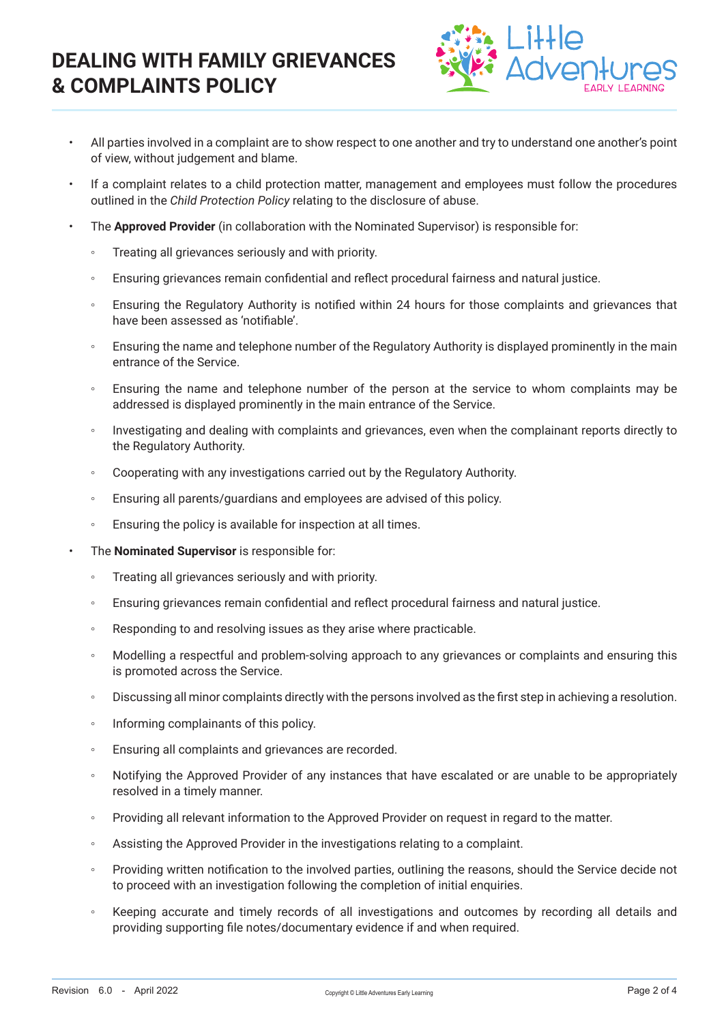# **DEALING WITH FAMILY GRIEVANCES & COMPLAINTS POLICY**



- All parties involved in a complaint are to show respect to one another and try to understand one another's point of view, without judgement and blame.
- If a complaint relates to a child protection matter, management and employees must follow the procedures outlined in the *Child Protection Policy* relating to the disclosure of abuse.
- The **Approved Provider** (in collaboration with the Nominated Supervisor) is responsible for:
	- Treating all grievances seriously and with priority.
	- Ensuring grievances remain confidential and reflect procedural fairness and natural justice.
	- Ensuring the Regulatory Authority is notified within 24 hours for those complaints and grievances that have been assessed as 'notifiable'.
	- Ensuring the name and telephone number of the Regulatory Authority is displayed prominently in the main entrance of the Service.
	- Ensuring the name and telephone number of the person at the service to whom complaints may be addressed is displayed prominently in the main entrance of the Service.
	- Investigating and dealing with complaints and grievances, even when the complainant reports directly to the Regulatory Authority.
	- Cooperating with any investigations carried out by the Regulatory Authority.
	- Ensuring all parents/guardians and employees are advised of this policy.
	- Ensuring the policy is available for inspection at all times.
	- The **Nominated Supervisor** is responsible for:
		- Treating all grievances seriously and with priority.
		- Ensuring grievances remain confidential and reflect procedural fairness and natural justice.
		- Responding to and resolving issues as they arise where practicable.
		- Modelling a respectful and problem-solving approach to any grievances or complaints and ensuring this is promoted across the Service.
		- Discussing all minor complaints directly with the persons involved as the first step in achieving a resolution.
		- Informing complainants of this policy.
		- Ensuring all complaints and grievances are recorded.
		- Notifying the Approved Provider of any instances that have escalated or are unable to be appropriately resolved in a timely manner.
		- Providing all relevant information to the Approved Provider on request in regard to the matter.
		- Assisting the Approved Provider in the investigations relating to a complaint.
		- Providing written notification to the involved parties, outlining the reasons, should the Service decide not to proceed with an investigation following the completion of initial enquiries.
		- Keeping accurate and timely records of all investigations and outcomes by recording all details and providing supporting file notes/documentary evidence if and when required.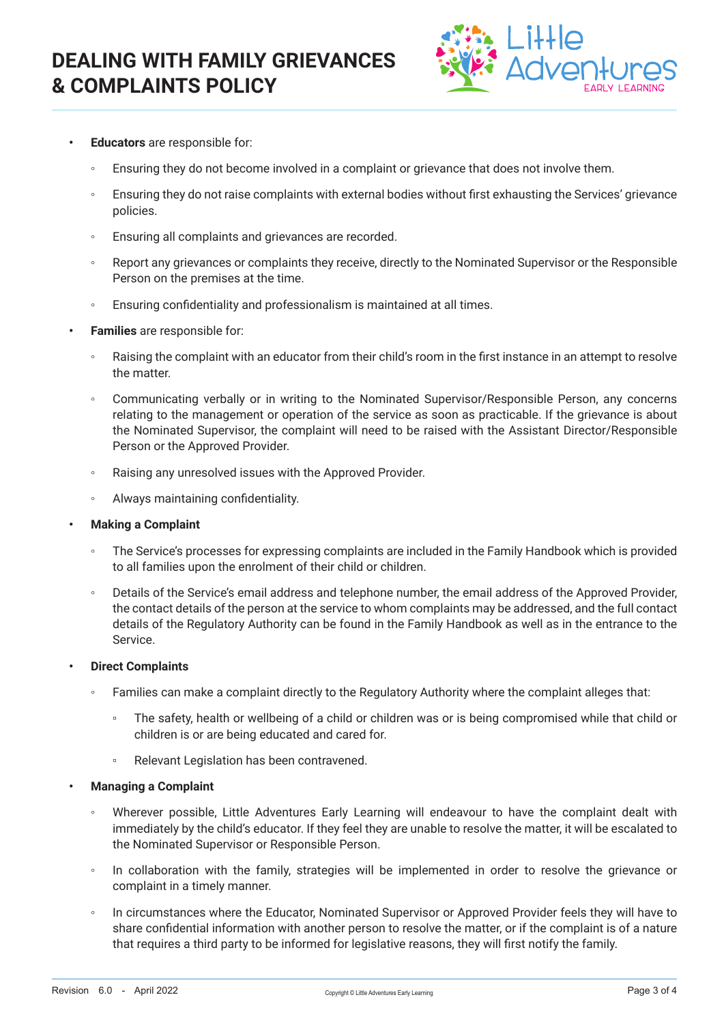

- **• Educators** are responsible for:
	- Ensuring they do not become involved in a complaint or grievance that does not involve them.
	- Ensuring they do not raise complaints with external bodies without first exhausting the Services' grievance policies.
	- Ensuring all complaints and grievances are recorded.
	- Report any grievances or complaints they receive, directly to the Nominated Supervisor or the Responsible Person on the premises at the time.
	- Ensuring confidentiality and professionalism is maintained at all times.
- **• Families** are responsible for:
	- Raising the complaint with an educator from their child's room in the first instance in an attempt to resolve the matter.
	- Communicating verbally or in writing to the Nominated Supervisor/Responsible Person, any concerns relating to the management or operation of the service as soon as practicable. If the grievance is about the Nominated Supervisor, the complaint will need to be raised with the Assistant Director/Responsible Person or the Approved Provider.
	- Raising any unresolved issues with the Approved Provider.
	- Always maintaining confidentiality.
- **• Making a Complaint**
	- The Service's processes for expressing complaints are included in the Family Handbook which is provided to all families upon the enrolment of their child or children.
	- Details of the Service's email address and telephone number, the email address of the Approved Provider, the contact details of the person at the service to whom complaints may be addressed, and the full contact details of the Regulatory Authority can be found in the Family Handbook as well as in the entrance to the Service.
- **• Direct Complaints**
	- Families can make a complaint directly to the Regulatory Authority where the complaint alleges that:
		- The safety, health or wellbeing of a child or children was or is being compromised while that child or children is or are being educated and cared for.
		- Relevant Legislation has been contravened.
- **• Managing a Complaint**
	- Wherever possible, Little Adventures Early Learning will endeavour to have the complaint dealt with immediately by the child's educator. If they feel they are unable to resolve the matter, it will be escalated to the Nominated Supervisor or Responsible Person.
	- In collaboration with the family, strategies will be implemented in order to resolve the grievance or complaint in a timely manner.
	- In circumstances where the Educator, Nominated Supervisor or Approved Provider feels they will have to share confidential information with another person to resolve the matter, or if the complaint is of a nature that requires a third party to be informed for legislative reasons, they will first notify the family.